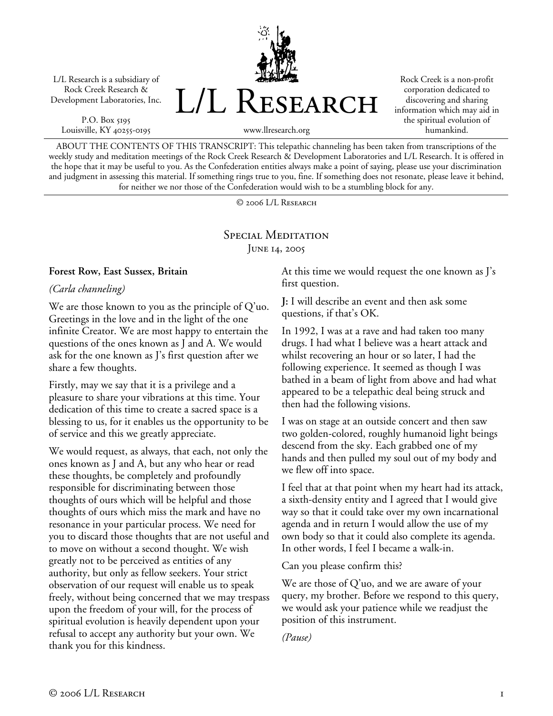L/L Research is a subsidiary of Rock Creek Research & Development Laboratories, Inc.

P.O. Box 5195 Louisville, KY 40255-0195



Rock Creek is a non-profit corporation dedicated to discovering and sharing information which may aid in the spiritual evolution of humankind.

www.llresearch.org

ABOUT THE CONTENTS OF THIS TRANSCRIPT: This telepathic channeling has been taken from transcriptions of the weekly study and meditation meetings of the Rock Creek Research & Development Laboratories and L/L Research. It is offered in the hope that it may be useful to you. As the Confederation entities always make a point of saying, please use your discrimination and judgment in assessing this material. If something rings true to you, fine. If something does not resonate, please leave it behind, for neither we nor those of the Confederation would wish to be a stumbling block for any.

© 2006 L/L Research

# SPECIAL MEDITATION JUNE 14, 2005

#### **Forest Row, East Sussex, Britain**

*(Carla channeling)* 

We are those known to you as the principle of Q'uo. Greetings in the love and in the light of the one infinite Creator. We are most happy to entertain the questions of the ones known as J and A. We would ask for the one known as J's first question after we share a few thoughts.

Firstly, may we say that it is a privilege and a pleasure to share your vibrations at this time. Your dedication of this time to create a sacred space is a blessing to us, for it enables us the opportunity to be of service and this we greatly appreciate.

We would request, as always, that each, not only the ones known as J and A, but any who hear or read these thoughts, be completely and profoundly responsible for discriminating between those thoughts of ours which will be helpful and those thoughts of ours which miss the mark and have no resonance in your particular process. We need for you to discard those thoughts that are not useful and to move on without a second thought. We wish greatly not to be perceived as entities of any authority, but only as fellow seekers. Your strict observation of our request will enable us to speak freely, without being concerned that we may trespass upon the freedom of your will, for the process of spiritual evolution is heavily dependent upon your refusal to accept any authority but your own. We thank you for this kindness.

At this time we would request the one known as J's first question.

**J:** I will describe an event and then ask some questions, if that's OK.

In 1992, I was at a rave and had taken too many drugs. I had what I believe was a heart attack and whilst recovering an hour or so later, I had the following experience. It seemed as though I was bathed in a beam of light from above and had what appeared to be a telepathic deal being struck and then had the following visions.

I was on stage at an outside concert and then saw two golden-colored, roughly humanoid light beings descend from the sky. Each grabbed one of my hands and then pulled my soul out of my body and we flew off into space.

I feel that at that point when my heart had its attack, a sixth-density entity and I agreed that I would give way so that it could take over my own incarnational agenda and in return I would allow the use of my own body so that it could also complete its agenda. In other words, I feel I became a walk-in.

Can you please confirm this?

We are those of Q'uo, and we are aware of your query, my brother. Before we respond to this query, we would ask your patience while we readjust the position of this instrument.

*(Pause)*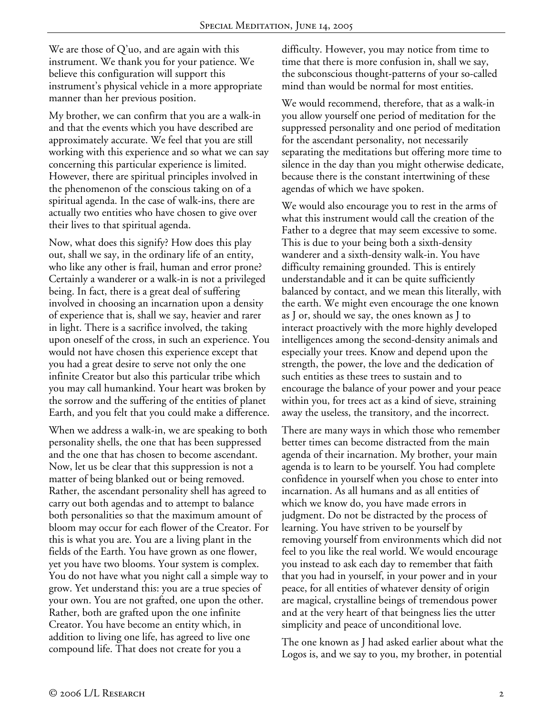We are those of  $Q'$ uo, and are again with this instrument. We thank you for your patience. We believe this configuration will support this instrument's physical vehicle in a more appropriate manner than her previous position.

My brother, we can confirm that you are a walk-in and that the events which you have described are approximately accurate. We feel that you are still working with this experience and so what we can say concerning this particular experience is limited. However, there are spiritual principles involved in the phenomenon of the conscious taking on of a spiritual agenda. In the case of walk-ins, there are actually two entities who have chosen to give over their lives to that spiritual agenda.

Now, what does this signify? How does this play out, shall we say, in the ordinary life of an entity, who like any other is frail, human and error prone? Certainly a wanderer or a walk-in is not a privileged being. In fact, there is a great deal of suffering involved in choosing an incarnation upon a density of experience that is, shall we say, heavier and rarer in light. There is a sacrifice involved, the taking upon oneself of the cross, in such an experience. You would not have chosen this experience except that you had a great desire to serve not only the one infinite Creator but also this particular tribe which you may call humankind. Your heart was broken by the sorrow and the suffering of the entities of planet Earth, and you felt that you could make a difference.

When we address a walk-in, we are speaking to both personality shells, the one that has been suppressed and the one that has chosen to become ascendant. Now, let us be clear that this suppression is not a matter of being blanked out or being removed. Rather, the ascendant personality shell has agreed to carry out both agendas and to attempt to balance both personalities so that the maximum amount of bloom may occur for each flower of the Creator. For this is what you are. You are a living plant in the fields of the Earth. You have grown as one flower, yet you have two blooms. Your system is complex. You do not have what you night call a simple way to grow. Yet understand this: you are a true species of your own. You are not grafted, one upon the other. Rather, both are grafted upon the one infinite Creator. You have become an entity which, in addition to living one life, has agreed to live one compound life. That does not create for you a

difficulty. However, you may notice from time to time that there is more confusion in, shall we say, the subconscious thought-patterns of your so-called mind than would be normal for most entities.

We would recommend, therefore, that as a walk-in you allow yourself one period of meditation for the suppressed personality and one period of meditation for the ascendant personality, not necessarily separating the meditations but offering more time to silence in the day than you might otherwise dedicate, because there is the constant intertwining of these agendas of which we have spoken.

We would also encourage you to rest in the arms of what this instrument would call the creation of the Father to a degree that may seem excessive to some. This is due to your being both a sixth-density wanderer and a sixth-density walk-in. You have difficulty remaining grounded. This is entirely understandable and it can be quite sufficiently balanced by contact, and we mean this literally, with the earth. We might even encourage the one known as J or, should we say, the ones known as J to interact proactively with the more highly developed intelligences among the second-density animals and especially your trees. Know and depend upon the strength, the power, the love and the dedication of such entities as these trees to sustain and to encourage the balance of your power and your peace within you, for trees act as a kind of sieve, straining away the useless, the transitory, and the incorrect.

There are many ways in which those who remember better times can become distracted from the main agenda of their incarnation. My brother, your main agenda is to learn to be yourself. You had complete confidence in yourself when you chose to enter into incarnation. As all humans and as all entities of which we know do, you have made errors in judgment. Do not be distracted by the process of learning. You have striven to be yourself by removing yourself from environments which did not feel to you like the real world. We would encourage you instead to ask each day to remember that faith that you had in yourself, in your power and in your peace, for all entities of whatever density of origin are magical, crystalline beings of tremendous power and at the very heart of that beingness lies the utter simplicity and peace of unconditional love.

The one known as J had asked earlier about what the Logos is, and we say to you, my brother, in potential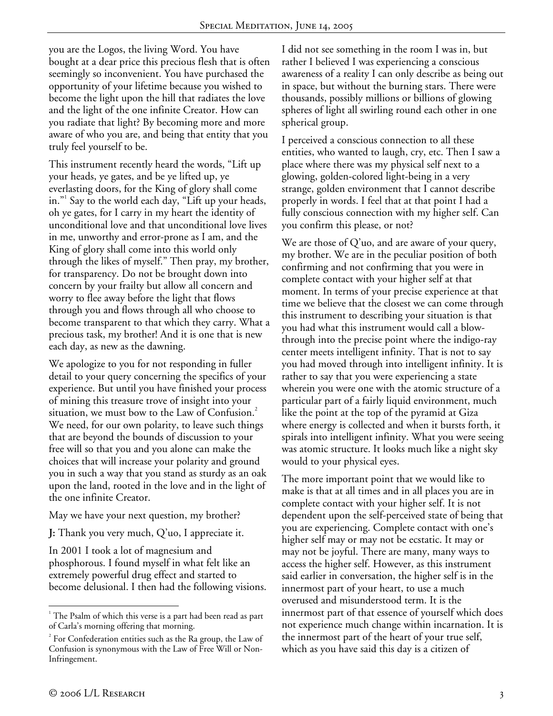you are the Logos, the living Word. You have bought at a dear price this precious flesh that is often seemingly so inconvenient. You have purchased the opportunity of your lifetime because you wished to become the light upon the hill that radiates the love and the light of the one infinite Creator. How can you radiate that light? By becoming more and more aware of who you are, and being that entity that you truly feel yourself to be.

This instrument recently heard the words, "Lift up your heads, ye gates, and be ye lifted up, ye everlasting doors, for the King of glory shall come in."<sup>1</sup> Say to the world each day, "Lift up your heads, oh ye gates, for I carry in my heart the identity of unconditional love and that unconditional love lives in me, unworthy and error-prone as I am, and the King of glory shall come into this world only through the likes of myself." Then pray, my brother, for transparency. Do not be brought down into concern by your frailty but allow all concern and worry to flee away before the light that flows through you and flows through all who choose to become transparent to that which they carry. What a precious task, my brother! And it is one that is new each day, as new as the dawning.

We apologize to you for not responding in fuller detail to your query concerning the specifics of your experience. But until you have finished your process of mining this treasure trove of insight into your situation, we must bow to the Law of Confusion.<sup>2</sup> We need, for our own polarity, to leave such things that are beyond the bounds of discussion to your free will so that you and you alone can make the choices that will increase your polarity and ground you in such a way that you stand as sturdy as an oak upon the land, rooted in the love and in the light of the one infinite Creator.

### May we have your next question, my brother?

**J:** Thank you very much, Q'uo, I appreciate it.

In 2001 I took a lot of magnesium and phosphorous. I found myself in what felt like an extremely powerful drug effect and started to become delusional. I then had the following visions. I did not see something in the room I was in, but rather I believed I was experiencing a conscious awareness of a reality I can only describe as being out in space, but without the burning stars. There were thousands, possibly millions or billions of glowing spheres of light all swirling round each other in one spherical group.

I perceived a conscious connection to all these entities, who wanted to laugh, cry, etc. Then I saw a place where there was my physical self next to a glowing, golden-colored light-being in a very strange, golden environment that I cannot describe properly in words. I feel that at that point I had a fully conscious connection with my higher self. Can you confirm this please, or not?

We are those of  $Q'$ uo, and are aware of your query, my brother. We are in the peculiar position of both confirming and not confirming that you were in complete contact with your higher self at that moment. In terms of your precise experience at that time we believe that the closest we can come through this instrument to describing your situation is that you had what this instrument would call a blowthrough into the precise point where the indigo-ray center meets intelligent infinity. That is not to say you had moved through into intelligent infinity. It is rather to say that you were experiencing a state wherein you were one with the atomic structure of a particular part of a fairly liquid environment, much like the point at the top of the pyramid at Giza where energy is collected and when it bursts forth, it spirals into intelligent infinity. What you were seeing was atomic structure. It looks much like a night sky would to your physical eyes.

The more important point that we would like to make is that at all times and in all places you are in complete contact with your higher self. It is not dependent upon the self-perceived state of being that you are experiencing. Complete contact with one's higher self may or may not be ecstatic. It may or may not be joyful. There are many, many ways to access the higher self. However, as this instrument said earlier in conversation, the higher self is in the innermost part of your heart, to use a much overused and misunderstood term. It is the innermost part of that essence of yourself which does not experience much change within incarnation. It is the innermost part of the heart of your true self, which as you have said this day is a citizen of

 $\overline{a}$ 

<sup>&</sup>lt;sup>1</sup> The Psalm of which this verse is a part had been read as part of Carla's morning offering that morning.

 $2^{2}$  For Confederation entities such as the Ra group, the Law of Confusion is synonymous with the Law of Free Will or Non-Infringement.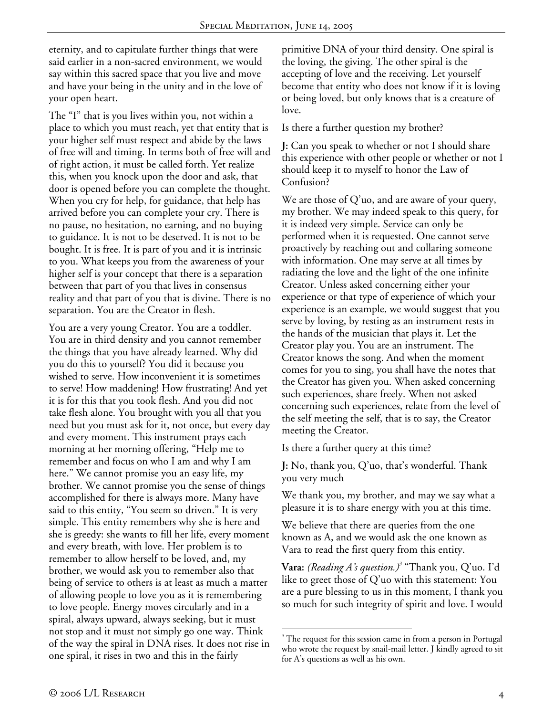eternity, and to capitulate further things that were said earlier in a non-sacred environment, we would say within this sacred space that you live and move and have your being in the unity and in the love of your open heart.

The "I" that is you lives within you, not within a place to which you must reach, yet that entity that is your higher self must respect and abide by the laws of free will and timing. In terms both of free will and of right action, it must be called forth. Yet realize this, when you knock upon the door and ask, that door is opened before you can complete the thought. When you cry for help, for guidance, that help has arrived before you can complete your cry. There is no pause, no hesitation, no earning, and no buying to guidance. It is not to be deserved. It is not to be bought. It is free. It is part of you and it is intrinsic to you. What keeps you from the awareness of your higher self is your concept that there is a separation between that part of you that lives in consensus reality and that part of you that is divine. There is no separation. You are the Creator in flesh.

You are a very young Creator. You are a toddler. You are in third density and you cannot remember the things that you have already learned. Why did you do this to yourself? You did it because you wished to serve. How inconvenient it is sometimes to serve! How maddening! How frustrating! And yet it is for this that you took flesh. And you did not take flesh alone. You brought with you all that you need but you must ask for it, not once, but every day and every moment. This instrument prays each morning at her morning offering, "Help me to remember and focus on who I am and why I am here." We cannot promise you an easy life, my brother. We cannot promise you the sense of things accomplished for there is always more. Many have said to this entity, "You seem so driven." It is very simple. This entity remembers why she is here and she is greedy: she wants to fill her life, every moment and every breath, with love. Her problem is to remember to allow herself to be loved, and, my brother, we would ask you to remember also that being of service to others is at least as much a matter of allowing people to love you as it is remembering to love people. Energy moves circularly and in a spiral, always upward, always seeking, but it must not stop and it must not simply go one way. Think of the way the spiral in DNA rises. It does not rise in one spiral, it rises in two and this in the fairly

primitive DNA of your third density. One spiral is the loving, the giving. The other spiral is the accepting of love and the receiving. Let yourself become that entity who does not know if it is loving or being loved, but only knows that is a creature of love.

Is there a further question my brother?

**J:** Can you speak to whether or not I should share this experience with other people or whether or not I should keep it to myself to honor the Law of Confusion?

We are those of Q'uo, and are aware of your query, my brother. We may indeed speak to this query, for it is indeed very simple. Service can only be performed when it is requested. One cannot serve proactively by reaching out and collaring someone with information. One may serve at all times by radiating the love and the light of the one infinite Creator. Unless asked concerning either your experience or that type of experience of which your experience is an example, we would suggest that you serve by loving, by resting as an instrument rests in the hands of the musician that plays it. Let the Creator play you. You are an instrument. The Creator knows the song. And when the moment comes for you to sing, you shall have the notes that the Creator has given you. When asked concerning such experiences, share freely. When not asked concerning such experiences, relate from the level of the self meeting the self, that is to say, the Creator meeting the Creator.

Is there a further query at this time?

**J:** No, thank you, Q'uo, that's wonderful. Thank you very much

We thank you, my brother, and may we say what a pleasure it is to share energy with you at this time.

We believe that there are queries from the one known as A, and we would ask the one known as Vara to read the first query from this entity.

**Vara:** *(Reading A's question.)<sup>3</sup>* "Thank you, Q'uo. I'd like to greet those of Q'uo with this statement: You are a pure blessing to us in this moment, I thank you so much for such integrity of spirit and love. I would

 $\overline{a}$ <sup>3</sup> The request for this session came in from a person in Portugal who wrote the request by snail-mail letter. J kindly agreed to sit for A's questions as well as his own.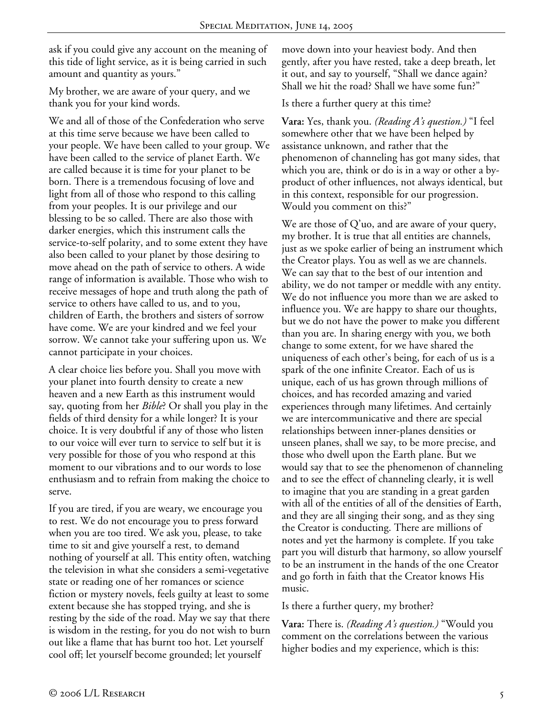ask if you could give any account on the meaning of this tide of light service, as it is being carried in such amount and quantity as yours."

My brother, we are aware of your query, and we thank you for your kind words.

We and all of those of the Confederation who serve at this time serve because we have been called to your people. We have been called to your group. We have been called to the service of planet Earth. We are called because it is time for your planet to be born. There is a tremendous focusing of love and light from all of those who respond to this calling from your peoples. It is our privilege and our blessing to be so called. There are also those with darker energies, which this instrument calls the service-to-self polarity, and to some extent they have also been called to your planet by those desiring to move ahead on the path of service to others. A wide range of information is available. Those who wish to receive messages of hope and truth along the path of service to others have called to us, and to you, children of Earth, the brothers and sisters of sorrow have come. We are your kindred and we feel your sorrow. We cannot take your suffering upon us. We cannot participate in your choices.

A clear choice lies before you. Shall you move with your planet into fourth density to create a new heaven and a new Earth as this instrument would say, quoting from her *Bible*? Or shall you play in the fields of third density for a while longer? It is your choice. It is very doubtful if any of those who listen to our voice will ever turn to service to self but it is very possible for those of you who respond at this moment to our vibrations and to our words to lose enthusiasm and to refrain from making the choice to serve.

If you are tired, if you are weary, we encourage you to rest. We do not encourage you to press forward when you are too tired. We ask you, please, to take time to sit and give yourself a rest, to demand nothing of yourself at all. This entity often, watching the television in what she considers a semi-vegetative state or reading one of her romances or science fiction or mystery novels, feels guilty at least to some extent because she has stopped trying, and she is resting by the side of the road. May we say that there is wisdom in the resting, for you do not wish to burn out like a flame that has burnt too hot. Let yourself cool off; let yourself become grounded; let yourself

move down into your heaviest body. And then gently, after you have rested, take a deep breath, let it out, and say to yourself, "Shall we dance again? Shall we hit the road? Shall we have some fun?"

Is there a further query at this time?

**Vara:** Yes, thank you. *(Reading A's question.)* "I feel somewhere other that we have been helped by assistance unknown, and rather that the phenomenon of channeling has got many sides, that which you are, think or do is in a way or other a byproduct of other influences, not always identical, but in this context, responsible for our progression. Would you comment on this?"

We are those of Q'uo, and are aware of your query, my brother. It is true that all entities are channels, just as we spoke earlier of being an instrument which the Creator plays. You as well as we are channels. We can say that to the best of our intention and ability, we do not tamper or meddle with any entity. We do not influence you more than we are asked to influence you. We are happy to share our thoughts, but we do not have the power to make you different than you are. In sharing energy with you, we both change to some extent, for we have shared the uniqueness of each other's being, for each of us is a spark of the one infinite Creator. Each of us is unique, each of us has grown through millions of choices, and has recorded amazing and varied experiences through many lifetimes. And certainly we are intercommunicative and there are special relationships between inner-planes densities or unseen planes, shall we say, to be more precise, and those who dwell upon the Earth plane. But we would say that to see the phenomenon of channeling and to see the effect of channeling clearly, it is well to imagine that you are standing in a great garden with all of the entities of all of the densities of Earth, and they are all singing their song, and as they sing the Creator is conducting. There are millions of notes and yet the harmony is complete. If you take part you will disturb that harmony, so allow yourself to be an instrument in the hands of the one Creator and go forth in faith that the Creator knows His music.

## Is there a further query, my brother?

**Vara:** There is. *(Reading A's question.)* "Would you comment on the correlations between the various higher bodies and my experience, which is this: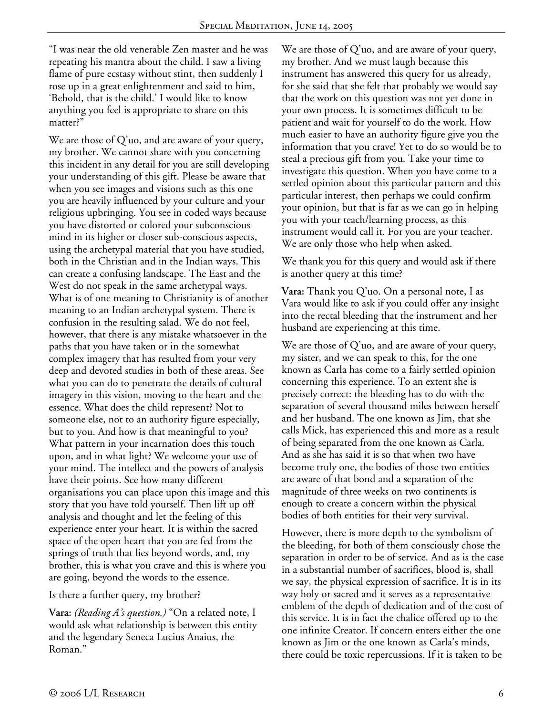"I was near the old venerable Zen master and he was repeating his mantra about the child. I saw a living flame of pure ecstasy without stint, then suddenly I rose up in a great enlightenment and said to him, 'Behold, that is the child.' I would like to know anything you feel is appropriate to share on this matter?"

We are those of Q'uo, and are aware of your query, my brother. We cannot share with you concerning this incident in any detail for you are still developing your understanding of this gift. Please be aware that when you see images and visions such as this one you are heavily influenced by your culture and your religious upbringing. You see in coded ways because you have distorted or colored your subconscious mind in its higher or closer sub-conscious aspects, using the archetypal material that you have studied, both in the Christian and in the Indian ways. This can create a confusing landscape. The East and the West do not speak in the same archetypal ways. What is of one meaning to Christianity is of another meaning to an Indian archetypal system. There is confusion in the resulting salad. We do not feel, however, that there is any mistake whatsoever in the paths that you have taken or in the somewhat complex imagery that has resulted from your very deep and devoted studies in both of these areas. See what you can do to penetrate the details of cultural imagery in this vision, moving to the heart and the essence. What does the child represent? Not to someone else, not to an authority figure especially, but to you. And how is that meaningful to you? What pattern in your incarnation does this touch upon, and in what light? We welcome your use of your mind. The intellect and the powers of analysis have their points. See how many different organisations you can place upon this image and this story that you have told yourself. Then lift up off analysis and thought and let the feeling of this experience enter your heart. It is within the sacred space of the open heart that you are fed from the springs of truth that lies beyond words, and, my brother, this is what you crave and this is where you are going, beyond the words to the essence.

### Is there a further query, my brother?

**Vara:** *(Reading A's question.)* "On a related note, I would ask what relationship is between this entity and the legendary Seneca Lucius Anaius, the Roman."

We are those of  $Q'$ uo, and are aware of your query, my brother. And we must laugh because this instrument has answered this query for us already, for she said that she felt that probably we would say that the work on this question was not yet done in your own process. It is sometimes difficult to be patient and wait for yourself to do the work. How much easier to have an authority figure give you the information that you crave! Yet to do so would be to steal a precious gift from you. Take your time to investigate this question. When you have come to a settled opinion about this particular pattern and this particular interest, then perhaps we could confirm your opinion, but that is far as we can go in helping you with your teach/learning process, as this instrument would call it. For you are your teacher. We are only those who help when asked.

We thank you for this query and would ask if there is another query at this time?

**Vara:** Thank you Q'uo. On a personal note, I as Vara would like to ask if you could offer any insight into the rectal bleeding that the instrument and her husband are experiencing at this time.

We are those of  $Q'$ uo, and are aware of your query, my sister, and we can speak to this, for the one known as Carla has come to a fairly settled opinion concerning this experience. To an extent she is precisely correct: the bleeding has to do with the separation of several thousand miles between herself and her husband. The one known as Jim, that she calls Mick, has experienced this and more as a result of being separated from the one known as Carla. And as she has said it is so that when two have become truly one, the bodies of those two entities are aware of that bond and a separation of the magnitude of three weeks on two continents is enough to create a concern within the physical bodies of both entities for their very survival.

However, there is more depth to the symbolism of the bleeding, for both of them consciously chose the separation in order to be of service. And as is the case in a substantial number of sacrifices, blood is, shall we say, the physical expression of sacrifice. It is in its way holy or sacred and it serves as a representative emblem of the depth of dedication and of the cost of this service. It is in fact the chalice offered up to the one infinite Creator. If concern enters either the one known as Jim or the one known as Carla's minds, there could be toxic repercussions. If it is taken to be